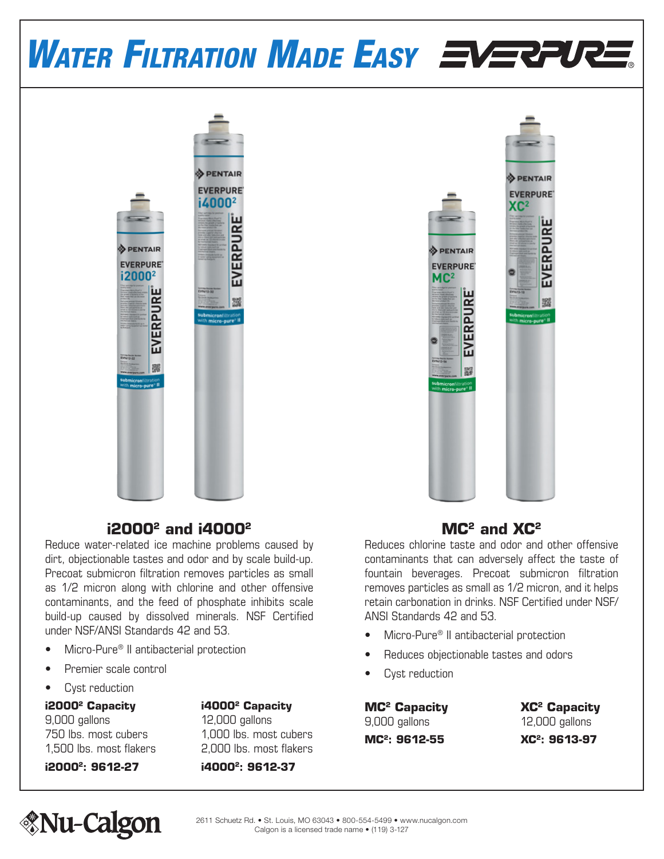# WATER FILTRATION MADE EASY EVERPURE.



# **i20002 and i40002**

Reduce water-related ice machine problems caused by dirt, objectionable tastes and odor and by scale build-up. Precoat submicron filtration removes particles as small as 1/2 micron along with chlorine and other offensive contaminants, and the feed of phosphate inhibits scale build-up caused by dissolved minerals. NSF Certified under NSF/ANSI Standards 42 and 53.

- Micro-Pure® II antibacterial protection
- Premier scale control
- Cyst reduction

# **i20002 Capacity i40002 Capacity** 9,000 gallons 12,000 gallons

750 lbs. most cubers 1,000 lbs. most cubers 1,500 lbs. most flakers 2,000 lbs. most flakers



# **MC2 and XC2**

Reduces chlorine taste and odor and other offensive contaminants that can adversely affect the taste of fountain beverages. Precoat submicron filtration removes particles as small as 1/2 micron, and it helps retain carbonation in drinks. NSF Certified under NSF/ ANSI Standards 42 and 53.

- Micro-Pure® II antibacterial protection
- Reduces objectionable tastes and odors
- Cyst reduction

**MC2 Capacity XC2 Capacity** 9,000 gallons 12,000 gallons **MC<sup>2</sup>: 9612-55 XC<sup>2</sup>: 9613-97** 

**i20002: 9612-27 i40002: 9612-37**